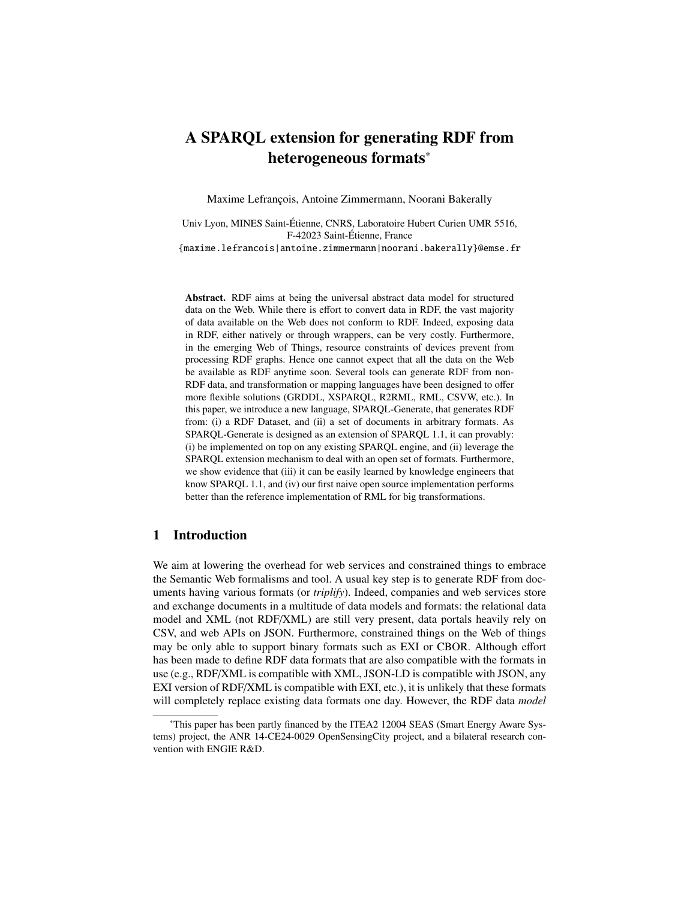# A SPARQL extension for generating RDF from heterogeneous formats<sup>∗</sup>

Maxime Lefrançois, Antoine Zimmermann, Noorani Bakerally

Univ Lyon, MINES Saint-Étienne, CNRS, Laboratoire Hubert Curien UMR 5516, F-42023 Saint-Étienne, France {maxime.lefrancois|antoine.zimmermann|noorani.bakerally}@emse.fr

Abstract. RDF aims at being the universal abstract data model for structured data on the Web. While there is effort to convert data in RDF, the vast majority of data available on the Web does not conform to RDF. Indeed, exposing data in RDF, either natively or through wrappers, can be very costly. Furthermore, in the emerging Web of Things, resource constraints of devices prevent from processing RDF graphs. Hence one cannot expect that all the data on the Web be available as RDF anytime soon. Several tools can generate RDF from non-RDF data, and transformation or mapping languages have been designed to offer more flexible solutions (GRDDL, XSPARQL, R2RML, RML, CSVW, etc.). In this paper, we introduce a new language, SPARQL-Generate, that generates RDF from: (i) a RDF Dataset, and (ii) a set of documents in arbitrary formats. As SPARQL-Generate is designed as an extension of SPARQL 1.1, it can provably: (i) be implemented on top on any existing SPARQL engine, and (ii) leverage the SPARQL extension mechanism to deal with an open set of formats. Furthermore, we show evidence that (iii) it can be easily learned by knowledge engineers that know SPARQL 1.1, and (iv) our first naive open source implementation performs better than the reference implementation of RML for big transformations.

## 1 Introduction

We aim at lowering the overhead for web services and constrained things to embrace the Semantic Web formalisms and tool. A usual key step is to generate RDF from documents having various formats (or *triplify*). Indeed, companies and web services store and exchange documents in a multitude of data models and formats: the relational data model and XML (not RDF/XML) are still very present, data portals heavily rely on CSV, and web APIs on JSON. Furthermore, constrained things on the Web of things may be only able to support binary formats such as EXI or CBOR. Although effort has been made to define RDF data formats that are also compatible with the formats in use (e.g., RDF/XML is compatible with XML, JSON-LD is compatible with JSON, any EXI version of RDF/XML is compatible with EXI, etc.), it is unlikely that these formats will completely replace existing data formats one day. However, the RDF data *model*

<sup>∗</sup>This paper has been partly financed by the ITEA2 12004 SEAS (Smart Energy Aware Systems) project, the ANR 14-CE24-0029 OpenSensingCity project, and a bilateral research convention with ENGIE R&D.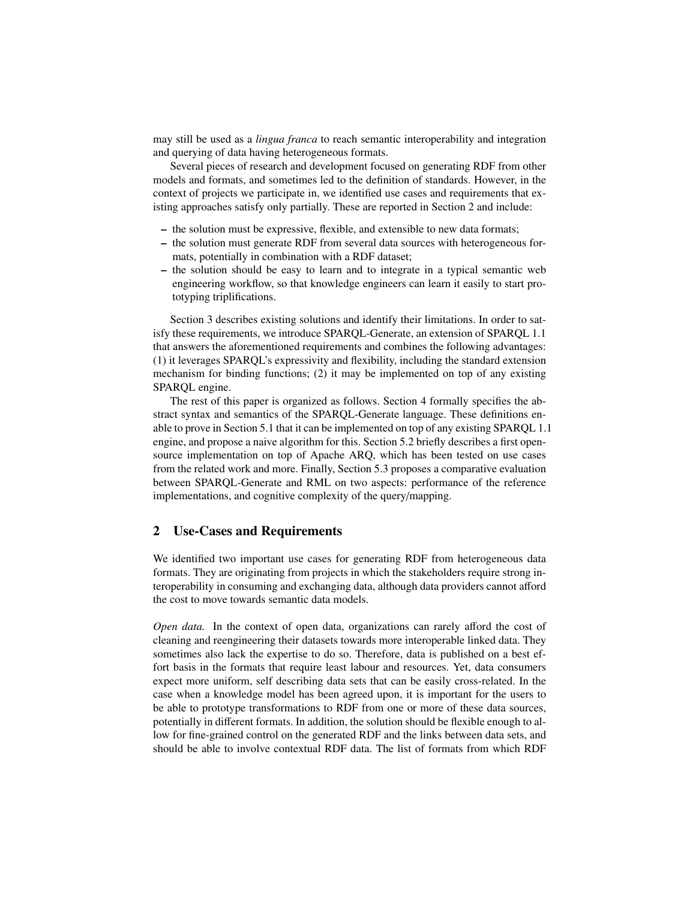may still be used as a *lingua franca* to reach semantic interoperability and integration and querying of data having heterogeneous formats.

Several pieces of research and development focused on generating RDF from other models and formats, and sometimes led to the definition of standards. However, in the context of projects we participate in, we identified use cases and requirements that existing approaches satisfy only partially. These are reported in Section 2 and include:

- the solution must be expressive, flexible, and extensible to new data formats;
- the solution must generate RDF from several data sources with heterogeneous formats, potentially in combination with a RDF dataset;
- the solution should be easy to learn and to integrate in a typical semantic web engineering workflow, so that knowledge engineers can learn it easily to start prototyping triplifications.

Section 3 describes existing solutions and identify their limitations. In order to satisfy these requirements, we introduce SPARQL-Generate, an extension of SPARQL 1.1 that answers the aforementioned requirements and combines the following advantages: (1) it leverages SPARQL's expressivity and flexibility, including the standard extension mechanism for binding functions; (2) it may be implemented on top of any existing SPARQL engine.

The rest of this paper is organized as follows. Section 4 formally specifies the abstract syntax and semantics of the SPARQL-Generate language. These definitions enable to prove in Section 5.1 that it can be implemented on top of any existing SPARQL 1.1 engine, and propose a naive algorithm for this. Section 5.2 briefly describes a first opensource implementation on top of Apache ARQ, which has been tested on use cases from the related work and more. Finally, Section 5.3 proposes a comparative evaluation between SPARQL-Generate and RML on two aspects: performance of the reference implementations, and cognitive complexity of the query/mapping.

## 2 Use-Cases and Requirements

We identified two important use cases for generating RDF from heterogeneous data formats. They are originating from projects in which the stakeholders require strong interoperability in consuming and exchanging data, although data providers cannot afford the cost to move towards semantic data models.

*Open data.* In the context of open data, organizations can rarely afford the cost of cleaning and reengineering their datasets towards more interoperable linked data. They sometimes also lack the expertise to do so. Therefore, data is published on a best effort basis in the formats that require least labour and resources. Yet, data consumers expect more uniform, self describing data sets that can be easily cross-related. In the case when a knowledge model has been agreed upon, it is important for the users to be able to prototype transformations to RDF from one or more of these data sources, potentially in different formats. In addition, the solution should be flexible enough to allow for fine-grained control on the generated RDF and the links between data sets, and should be able to involve contextual RDF data. The list of formats from which RDF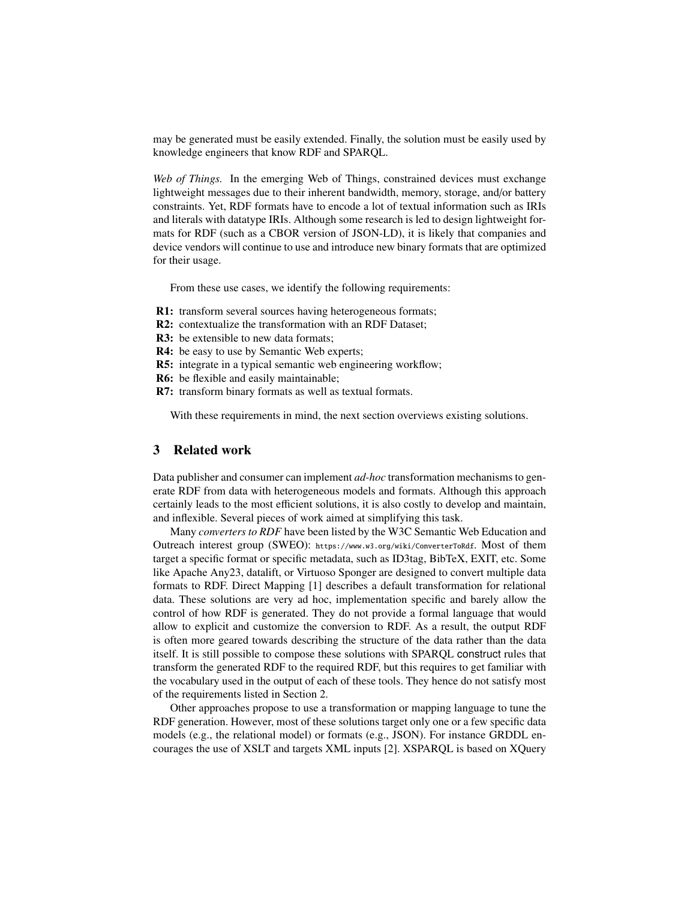may be generated must be easily extended. Finally, the solution must be easily used by knowledge engineers that know RDF and SPARQL.

*Web of Things.* In the emerging Web of Things, constrained devices must exchange lightweight messages due to their inherent bandwidth, memory, storage, and/or battery constraints. Yet, RDF formats have to encode a lot of textual information such as IRIs and literals with datatype IRIs. Although some research is led to design lightweight formats for RDF (such as a CBOR version of JSON-LD), it is likely that companies and device vendors will continue to use and introduce new binary formats that are optimized for their usage.

From these use cases, we identify the following requirements:

- R1: transform several sources having heterogeneous formats;
- R2: contextualize the transformation with an RDF Dataset;
- R3: be extensible to new data formats;
- R4: be easy to use by Semantic Web experts;
- R5: integrate in a typical semantic web engineering workflow;
- R6: be flexible and easily maintainable;
- R7: transform binary formats as well as textual formats.

With these requirements in mind, the next section overviews existing solutions.

## 3 Related work

Data publisher and consumer can implement *ad-hoc* transformation mechanisms to generate RDF from data with heterogeneous models and formats. Although this approach certainly leads to the most efficient solutions, it is also costly to develop and maintain, and inflexible. Several pieces of work aimed at simplifying this task.

Many *converters to RDF* have been listed by the W3C Semantic Web Education and Outreach interest group (SWEO): https://www.w3.org/wiki/ConverterToRdf. Most of them target a specific format or specific metadata, such as ID3tag, BibTeX, EXIT, etc. Some like Apache Any23, datalift, or Virtuoso Sponger are designed to convert multiple data formats to RDF. Direct Mapping [1] describes a default transformation for relational data. These solutions are very ad hoc, implementation specific and barely allow the control of how RDF is generated. They do not provide a formal language that would allow to explicit and customize the conversion to RDF. As a result, the output RDF is often more geared towards describing the structure of the data rather than the data itself. It is still possible to compose these solutions with SPARQL construct rules that transform the generated RDF to the required RDF, but this requires to get familiar with the vocabulary used in the output of each of these tools. They hence do not satisfy most of the requirements listed in Section 2.

Other approaches propose to use a transformation or mapping language to tune the RDF generation. However, most of these solutions target only one or a few specific data models (e.g., the relational model) or formats (e.g., JSON). For instance GRDDL encourages the use of XSLT and targets XML inputs [2]. XSPARQL is based on XQuery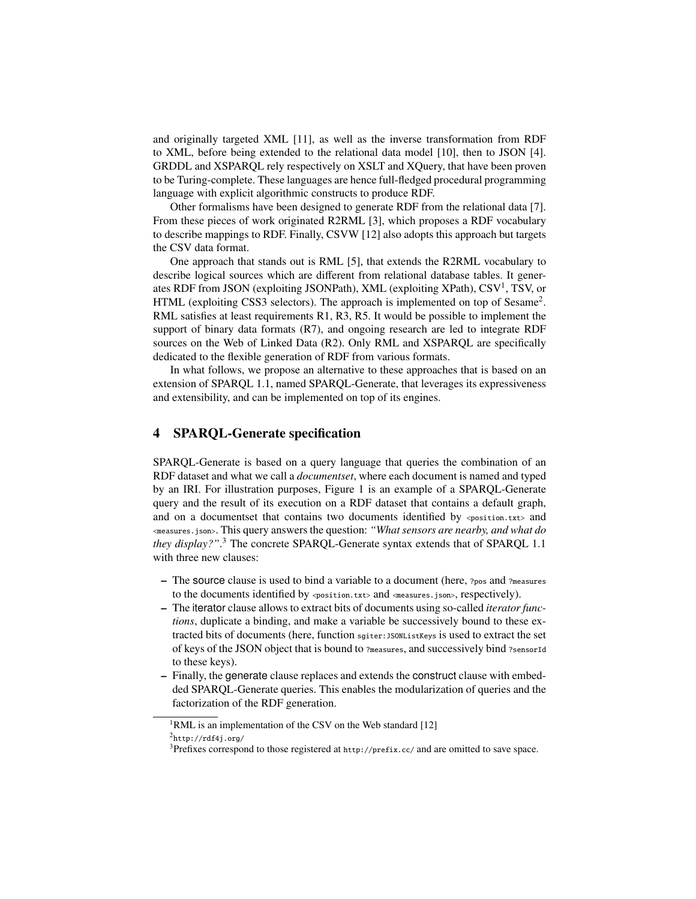and originally targeted XML [11], as well as the inverse transformation from RDF to XML, before being extended to the relational data model [10], then to JSON [4]. GRDDL and XSPARQL rely respectively on XSLT and XQuery, that have been proven to be Turing-complete. These languages are hence full-fledged procedural programming language with explicit algorithmic constructs to produce RDF.

Other formalisms have been designed to generate RDF from the relational data [7]. From these pieces of work originated R2RML [3], which proposes a RDF vocabulary to describe mappings to RDF. Finally, CSVW [12] also adopts this approach but targets the CSV data format.

One approach that stands out is RML [5], that extends the R2RML vocabulary to describe logical sources which are different from relational database tables. It generates RDF from JSON (exploiting JSONPath), XML (exploiting XPath), CSV<sup>1</sup>, TSV, or HTML (exploiting CSS3 selectors). The approach is implemented on top of Sesame<sup>2</sup>. RML satisfies at least requirements R1, R3, R5. It would be possible to implement the support of binary data formats (R7), and ongoing research are led to integrate RDF sources on the Web of Linked Data (R2). Only RML and XSPARQL are specifically dedicated to the flexible generation of RDF from various formats.

In what follows, we propose an alternative to these approaches that is based on an extension of SPARQL 1.1, named SPARQL-Generate, that leverages its expressiveness and extensibility, and can be implemented on top of its engines.

## 4 SPARQL-Generate specification

SPARQL-Generate is based on a query language that queries the combination of an RDF dataset and what we call a *documentset*, where each document is named and typed by an IRI. For illustration purposes, Figure 1 is an example of a SPARQL-Generate query and the result of its execution on a RDF dataset that contains a default graph, and on a documentset that contains two documents identified by  $\epsilon_{position.txt}$  and <measures.json>. This query answers the question: *"What sensors are nearby, and what do they display?"*. <sup>3</sup> The concrete SPARQL-Generate syntax extends that of SPARQL 1.1 with three new clauses:

- The source clause is used to bind a variable to a document (here, ?pos and ?measures to the documents identified by <position.txt> and <measures.json>, respectively).
- The iterator clause allows to extract bits of documents using so-called *iterator functions*, duplicate a binding, and make a variable be successively bound to these extracted bits of documents (here, function sgiter:JSONListKeys is used to extract the set of keys of the JSON object that is bound to ?measures, and successively bind ?sensorId to these keys).
- Finally, the generate clause replaces and extends the construct clause with embedded SPARQL-Generate queries. This enables the modularization of queries and the factorization of the RDF generation.

<sup>&</sup>lt;sup>1</sup>RML is an implementation of the CSV on the Web standard [12]

 $^2$ http://rdf4j.org/

<sup>3</sup>Prefixes correspond to those registered at http://prefix.cc/ and are omitted to save space.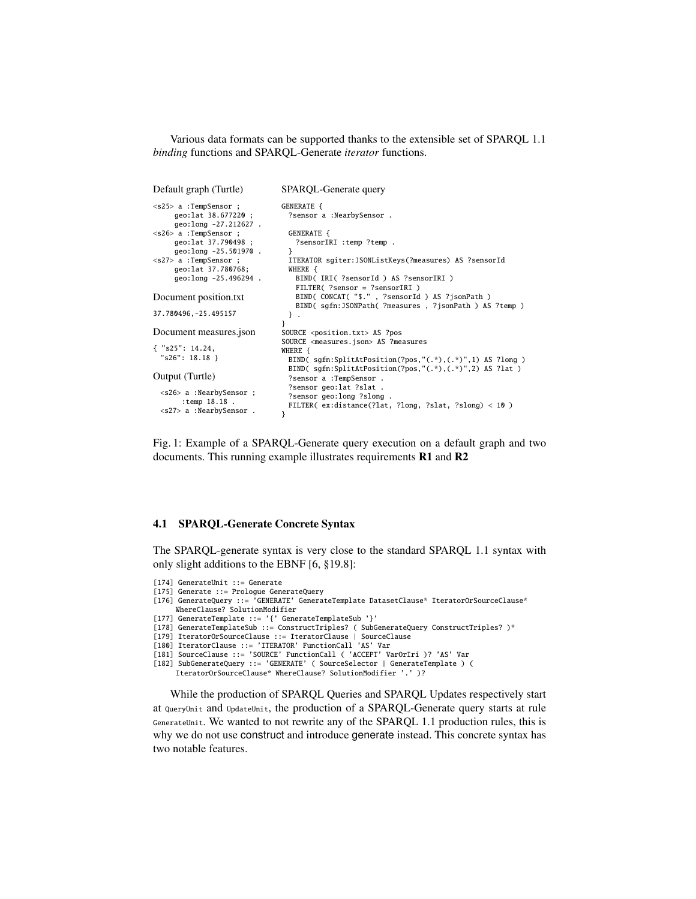Various data formats can be supported thanks to the extensible set of SPARQL 1.1 *binding* functions and SPARQL-Generate *iterator* functions.

Default graph (Turtle) SPARQL-Generate query

```
<s25> a :TempSensor ;
     geo:lat 38.677220 ;
     geo:long -27.212627 .
<s26> a :TempSensor ;
     geo:lat 37.790498 ;
     geo:long -25.501970 .
<s27> a :TempSensor ;
     geo:lat 37.780768;
     geo:long -25.496294 .
Document position.txt
37.780496,-25.495157
Document measures.json
{ "s25": 14.24,
"s26": 18.18 }
Output (Turtle)
 <s26> a :NearbySensor ;
       :temp 18.18 .
 <s27> a :NearbySensor .
                                  GENERATE {
                                    ?sensor a :NearbySensor .
                                    GENERATE {
                                    ?sensorIRI :temp ?temp .
                                    }
                                    ITERATOR sgiter:JSONListKeys(?measures) AS ?sensorId
                                    WHERE {
                                      BIND( IRI( ?sensorId ) AS ?sensorIRI )
                                       FILTER( ?sensor = ?sensorIRI )
BIND( CONCAT( "$." , ?sensorId ) AS ?jsonPath )
                                      BIND( sgfn:JSONPath( ?measures , ?jsonPath ) AS ?temp )
                                    } .
                                  }
                                  SOURCE <position.txt> AS ?pos
                                  SOURCE <measures.json> AS ?measures
                                  WHERE {
                                     BIND( sgfn:SplitAtPosition(?pos,"(.*),(.*)",1) AS ?long )
BIND( sgfn:SplitAtPosition(?pos,"(.*),(.*)",2) AS ?lat )
                                    ?sensor a :TempSensor .
                                    ?sensor geo:lat ?slat .
                                    ?sensor geo:long ?slong .
                                    FILTER( ex:distance(?lat, ?long, ?slat, ?slong) < 10 )
                                  }
```
Fig. 1: Example of a SPARQL-Generate query execution on a default graph and two documents. This running example illustrates requirements R1 and R2

#### 4.1 SPARQL-Generate Concrete Syntax

The SPARQL-generate syntax is very close to the standard SPARQL 1.1 syntax with only slight additions to the EBNF [6, §19.8]:

```
[174] GenerateUnit ::= Generate
```

```
[175] Generate ::= Prologue GenerateQuery
```

```
[176] GenerateQuery ::= 'GENERATE' GenerateTemplate DatasetClause* IteratorOrSourceClause*
     WhereClause? SolutionModifier
```
- [177] GenerateTemplate ::= '{' GenerateTemplateSub '}'
- [178] GenerateTemplateSub ::= ConstructTriples? ( SubGenerateQuery ConstructTriples? )\*
- [179] IteratorOrSourceClause ::= IteratorClause | SourceClause
- [180] IteratorClause ::= 'ITERATOR' FunctionCall 'AS' Var
- [181] SourceClause ::= 'SOURCE' FunctionCall ( 'ACCEPT' VarOrIri )? 'AS' Var
- [182] SubGenerateQuery ::= 'GENERATE' ( SourceSelector | GenerateTemplate ) (
	- IteratorOrSourceClause\* WhereClause? SolutionModifier '.' )?

While the production of SPARQL Queries and SPARQL Updates respectively start at QueryUnit and UpdateUnit, the production of a SPARQL-Generate query starts at rule GenerateUnit. We wanted to not rewrite any of the SPARQL 1.1 production rules, this is why we do not use construct and introduce generate instead. This concrete syntax has two notable features.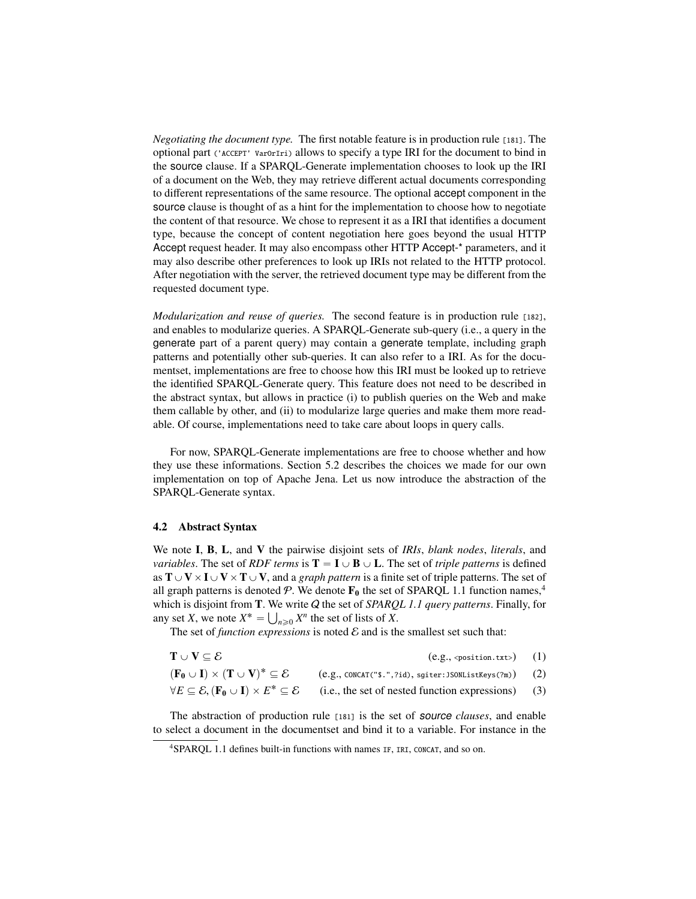*Negotiating the document type.* The first notable feature is in production rule [181]. The optional part ('ACCEPT' VarOrIri) allows to specify a type IRI for the document to bind in the source clause. If a SPARQL-Generate implementation chooses to look up the IRI of a document on the Web, they may retrieve different actual documents corresponding to different representations of the same resource. The optional accept component in the source clause is thought of as a hint for the implementation to choose how to negotiate the content of that resource. We chose to represent it as a IRI that identifies a document type, because the concept of content negotiation here goes beyond the usual HTTP Accept request header. It may also encompass other HTTP Accept-\* parameters, and it may also describe other preferences to look up IRIs not related to the HTTP protocol. After negotiation with the server, the retrieved document type may be different from the requested document type.

*Modularization and reuse of queries.* The second feature is in production rule [182], and enables to modularize queries. A SPARQL-Generate sub-query (i.e., a query in the generate part of a parent query) may contain a generate template, including graph patterns and potentially other sub-queries. It can also refer to a IRI. As for the documentset, implementations are free to choose how this IRI must be looked up to retrieve the identified SPARQL-Generate query. This feature does not need to be described in the abstract syntax, but allows in practice (i) to publish queries on the Web and make them callable by other, and (ii) to modularize large queries and make them more readable. Of course, implementations need to take care about loops in query calls.

For now, SPARQL-Generate implementations are free to choose whether and how they use these informations. Section 5.2 describes the choices we made for our own implementation on top of Apache Jena. Let us now introduce the abstraction of the SPARQL-Generate syntax.

#### 4.2 Abstract Syntax

We note I, B, L, and V the pairwise disjoint sets of *IRIs*, *blank nodes*, *literals*, and *variables*. The set of *RDF terms* is  $T = I \cup B \cup L$ . The set of *triple patterns* is defined as  $T\cup V\times I\cup V\times T\cup V$ , and a *graph pattern* is a finite set of triple patterns. The set of all graph patterns is denoted P. We denote  $\mathbf{F}_0$  the set of SPARQL 1.1 function names,<sup>4</sup> which is disjoint from **T**. We write Q the set of SPARQL 1.1 query patterns. Finally, for any set *X*, we note  $X^* = \bigcup_{n \geq 0} X^n$  the set of lists of *X*.

The set of *function expressions* is noted  $\mathcal E$  and is the smallest set such that:

| $(\mathbf{F_0} \cup \mathbf{I}) \times (\mathbf{T} \cup \mathbf{V})^* \subseteq \mathcal{E}$ |  |  |  |  | $(e.g., \text{CONCAT}("$ \$.",?id), sgiter:JSONListKeys $(?m)$ $(2)$ |  |
|----------------------------------------------------------------------------------------------|--|--|--|--|----------------------------------------------------------------------|--|
|                                                                                              |  |  |  |  |                                                                      |  |

 $\forall E \subseteq \mathcal{E}, (\mathbf{F_0} \cup \mathbf{I}) \times E^* \subseteq \mathcal{E}$  $(i.e., the set of nested function expressions)$  (3)

The abstraction of production rule [181] is the set of source *clauses*, and enable to select a document in the documentset and bind it to a variable. For instance in the

<sup>4</sup>SPARQL 1.1 defines built-in functions with names IF, IRI, CONCAT, and so on.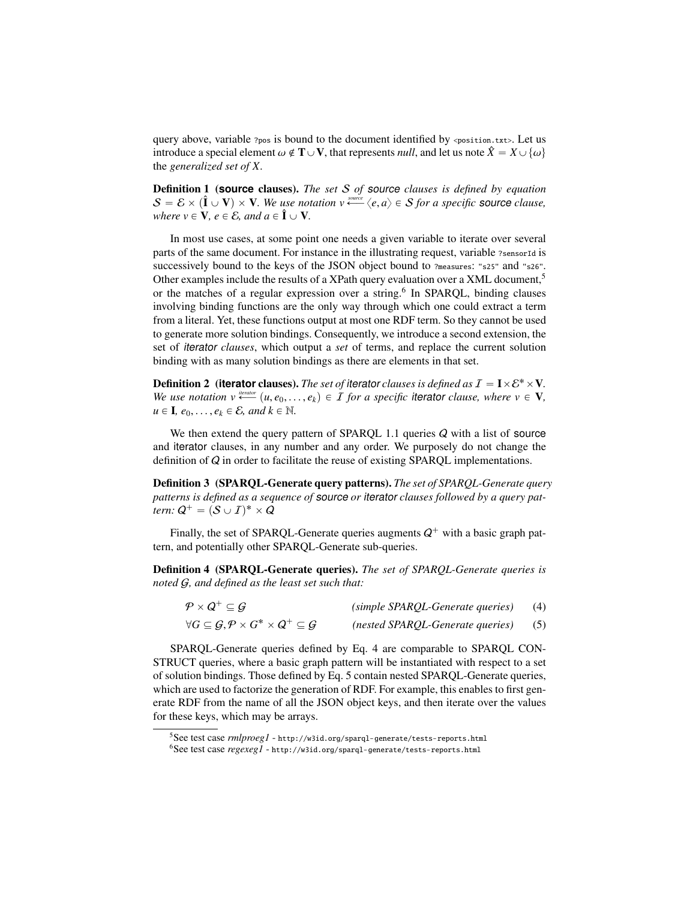query above, variable  $z_{pos}$  is bound to the document identified by  $\zeta_{position}.txt>$ . Let us introduce a special element  $\omega \notin \mathbf{T} \cup \mathbf{V}$ , that represents *null*, and let us note  $\hat{X} = X \cup \{\omega\}$ the *generalized set of X*.

Definition 1 (**source** clauses). *The set* S *of* source *clauses is defined by equation*  $S = \mathcal{E} \times (\mathbf{\hat{I}} \cup \mathbf{V}) \times \mathbf{V}$ . We use notation  $v \stackrel{source}{\longleftarrow} \langle e, a \rangle \in \mathcal{S}$  for a specific source clause, *where*  $v \in V$ *,*  $e \in \mathcal{E}$ *<i>, and a*  $\in \hat{I} \cup V$ *.* 

In most use cases, at some point one needs a given variable to iterate over several parts of the same document. For instance in the illustrating request, variable ?sensor1d is successively bound to the keys of the JSON object bound to ?measures: "s25" and "s26". Other examples include the results of a XPath query evaluation over a XML document,<sup>5</sup> or the matches of a regular expression over a string.<sup>6</sup> In SPARQL, binding clauses involving binding functions are the only way through which one could extract a term from a literal. Yet, these functions output at most one RDF term. So they cannot be used to generate more solution bindings. Consequently, we introduce a second extension, the set of iterator *clauses*, which output a *set* of terms, and replace the current solution binding with as many solution bindings as there are elements in that set.

**Definition 2** (**iterator** clauses). *The set of iterator clauses is defined as*  $I = I \times E^* \times V$ . *We use notation*  $v \stackrel{\text{terator}}{\longleftarrow} (u, e_0, \ldots, e_k) \in I$  for a specific iterator clause, where  $v \in V$ ,  $u \in I$ ,  $e_0, \ldots, e_k \in \mathcal{E}$ , and  $k \in \mathbb{N}$ .

We then extend the query pattern of SPAROL 1.1 queries  $Q$  with a list of source and iterator clauses, in any number and any order. We purposely do not change the definition of Q in order to facilitate the reuse of existing SPARQL implementations.

Definition 3 (SPARQL-Generate query patterns). *The set of SPARQL-Generate query patterns is defined as a sequence of* source *or* iterator *clauses followed by a query pat*tern:  $Q^+ = (\mathcal{S} \cup \mathcal{I})^* \times Q$ 

Finally, the set of SPARQL-Generate queries augments  $Q^+$  with a basic graph pattern, and potentially other SPARQL-Generate sub-queries.

Definition 4 (SPARQL-Generate queries). *The set of SPARQL-Generate queries is noted* G*, and defined as the least set such that:*

| $\mathcal{P}\times\mathcal{Q}^+\subseteq\mathcal{G}$                   | (simple SPAROL-Generate queries) | (4) |
|------------------------------------------------------------------------|----------------------------------|-----|
| $\forall G \subseteq G, \mathcal{P} \times G^* \times Q^+ \subseteq G$ | (nested SPARQL-Generate queries) | (5) |

SPARQL-Generate queries defined by Eq. 4 are comparable to SPARQL CON-STRUCT queries, where a basic graph pattern will be instantiated with respect to a set of solution bindings. Those defined by Eq. 5 contain nested SPARQL-Generate queries, which are used to factorize the generation of RDF. For example, this enables to first generate RDF from the name of all the JSON object keys, and then iterate over the values for these keys, which may be arrays.

<sup>5</sup>See test case *rmlproeg1* - http://w3id.org/sparql-generate/tests-reports.html <sup>6</sup>See test case *regexeg1* - http://w3id.org/sparql-generate/tests-reports.html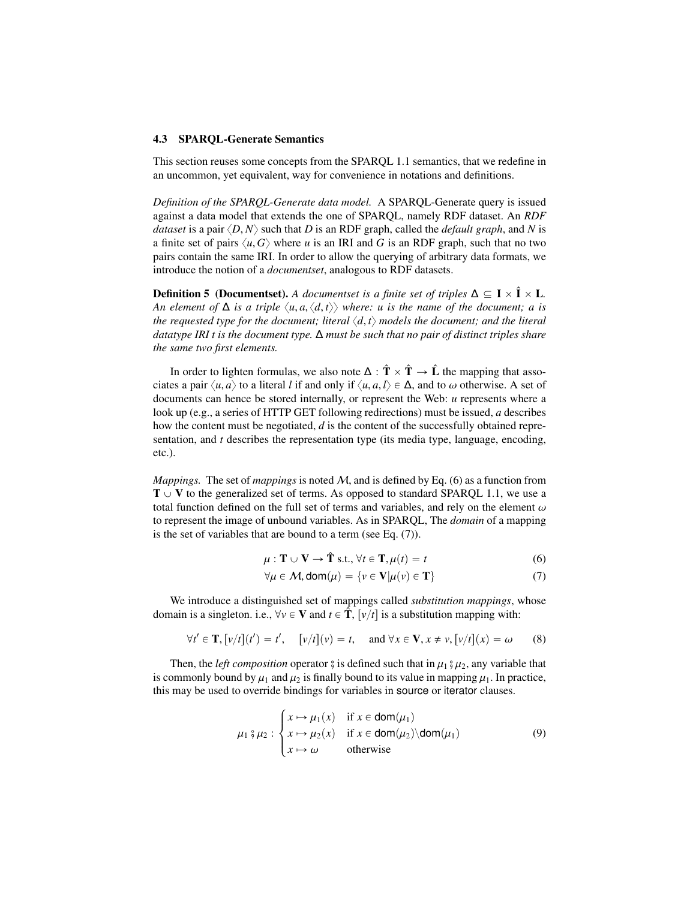#### 4.3 SPARQL-Generate Semantics

This section reuses some concepts from the SPARQL 1.1 semantics, that we redefine in an uncommon, yet equivalent, way for convenience in notations and definitions.

*Definition of the SPARQL-Generate data model.* A SPARQL-Generate query is issued against a data model that extends the one of SPARQL, namely RDF dataset. An *RDF dataset* is a pair  $\langle D, N \rangle$  such that *D* is an RDF graph, called the *default graph*, and *N* is a finite set of pairs  $\langle u, G \rangle$  where *u* is an IRI and *G* is an RDF graph, such that no two pairs contain the same IRI. In order to allow the querying of arbitrary data formats, we introduce the notion of a *documentset*, analogous to RDF datasets.

**Definition 5** (Documentset). A documentset is a finite set of triples  $\Delta \subseteq I \times \hat{I} \times I$ . *An element of*  $\Delta$  *is a triple*  $\langle u, a, \langle d, t \rangle \rangle$  *where: u is the name of the document; a is the requested type for the document; literal*  $\langle d, t \rangle$  *models the document; and the literal datatype IRI t is the document type.* ∆ *must be such that no pair of distinct triples share the same two first elements.*

In order to lighten formulas, we also note  $\Delta : \hat{T} \times \hat{T} \to \hat{L}$  the mapping that associates a pair  $\langle u, a \rangle$  to a literal *l* if and only if  $\langle u, a, l \rangle \in \Delta$ , and to  $\omega$  otherwise. A set of documents can hence be stored internally, or represent the Web: *u* represents where a look up (e.g., a series of HTTP GET following redirections) must be issued, *a* describes how the content must be negotiated, *d* is the content of the successfully obtained representation, and *t* describes the representation type (its media type, language, encoding, etc.).

*Mappings.* The set of *mappings* is noted M, and is defined by Eq. (6) as a function from  $T \cup V$  to the generalized set of terms. As opposed to standard SPARQL 1.1, we use a total function defined on the full set of terms and variables, and rely on the element  $\omega$ to represent the image of unbound variables. As in SPARQL, The *domain* of a mapping is the set of variables that are bound to a term (see Eq. (7)).

$$
\mu: \mathbf{T} \cup \mathbf{V} \to \hat{\mathbf{T}} \text{ s.t., } \forall t \in \mathbf{T}, \mu(t) = t \tag{6}
$$

$$
\forall \mu \in \mathcal{M}, \text{dom}(\mu) = \{ v \in \mathbf{V} | \mu(v) \in \mathbf{T} \}
$$
 (7)

We introduce a distinguished set of mappings called *substitution mappings*, whose domain is a singleton. i.e.,  $\forall v \in \mathbf{V}$  and  $t \in \hat{\mathbf{T}}$ ,  $[v/t]$  is a substitution mapping with:

$$
\forall t' \in \mathbf{T}, [v/t](t') = t', \quad [v/t](v) = t, \quad \text{and } \forall x \in \mathbf{V}, x \neq v, [v/t](x) = \omega \tag{8}
$$

Then, the *left composition* operator  $\frac{1}{9}$  is defined such that in  $\mu_1 \frac{1}{9} \mu_2$ , any variable that is commonly bound by  $\mu_1$  and  $\mu_2$  is finally bound to its value in mapping  $\mu_1$ . In practice, this may be used to override bindings for variables in source or iterator clauses.

$$
\mu_1 \S \mu_2 : \begin{cases} x \mapsto \mu_1(x) & \text{if } x \in \text{dom}(\mu_1) \\ x \mapsto \mu_2(x) & \text{if } x \in \text{dom}(\mu_2) \setminus \text{dom}(\mu_1) \\ x \mapsto \omega & \text{otherwise} \end{cases}
$$
(9)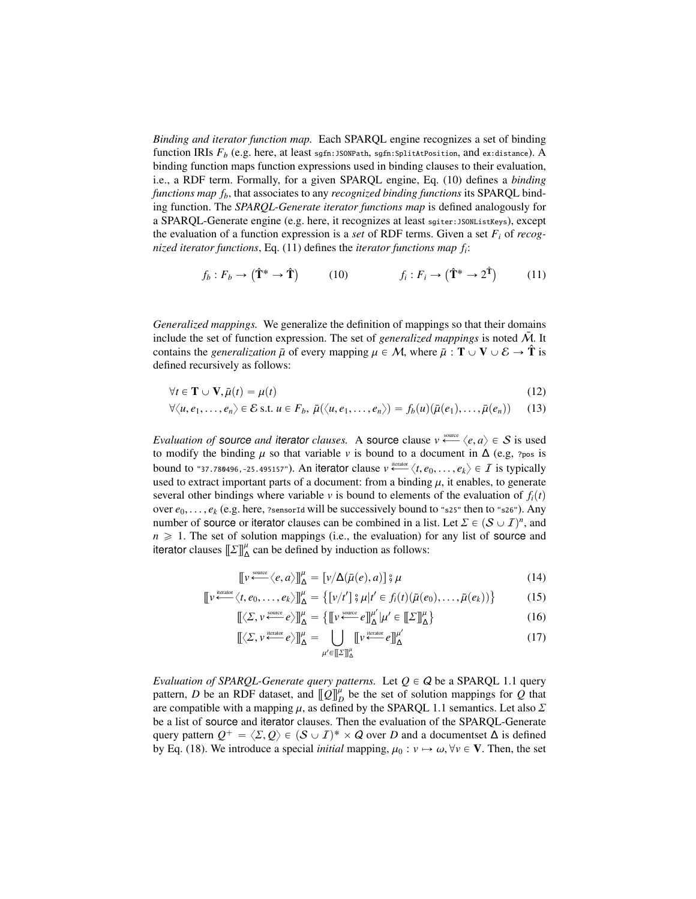*Binding and iterator function map.* Each SPARQL engine recognizes a set of binding function IRIs  $F_b$  (e.g. here, at least sgfn: JSONPath, sgfn: SplitAtPosition, and ex:distance). A binding function maps function expressions used in binding clauses to their evaluation, i.e., a RDF term. Formally, for a given SPARQL engine, Eq. (10) defines a *binding functions map fb*, that associates to any *recognized binding functions* its SPARQL binding function. The *SPARQL-Generate iterator functions map* is defined analogously for a SPARQL-Generate engine (e.g. here, it recognizes at least sgiter:JSONListKeys), except the evaluation of a function expression is a *set* of RDF terms. Given a set *F<sup>i</sup>* of *recognized iterator functions*, Eq. (11) defines the *iterator functions map f<sup>i</sup>* :

$$
f_b: F_b \to (\hat{\mathbf{T}}^* \to \hat{\mathbf{T}}) \tag{10} \qquad f_i: F_i \to (\hat{\mathbf{T}}^* \to 2^{\hat{\mathbf{T}}}) \tag{11}
$$

*Generalized mappings.* We generalize the definition of mappings so that their domains include the set of function expression. The set of *generalized mappings* is noted  $\bar{M}$ . It contains the *generalization*  $\bar{\mu}$  of every mapping  $\mu \in M$ , where  $\bar{\mu} : T \cup V \cup \mathcal{E} \rightarrow \hat{T}$  is defined recursively as follows:

$$
\forall t \in \mathbf{T} \cup \mathbf{V}, \bar{\mu}(t) = \mu(t) \tag{12}
$$

$$
\forall \langle u, e_1, \ldots, e_n \rangle \in \mathcal{E} \text{ s.t. } u \in F_b, \ \bar{\mu}(\langle u, e_1, \ldots, e_n \rangle) = f_b(u)(\bar{\mu}(e_1), \ldots, \bar{\mu}(e_n)) \tag{13}
$$

*Evaluation of source and iterator clauses.* A source clause  $v \stackrel{\text{source}}{\longleftarrow} \langle e, a \rangle \in S$  is used to modify the binding *u* so that variable *y* is bound to a document in  $\Lambda$  (e.g. area is to modify the binding  $\mu$  so that variable  $\nu$  is bound to a document in  $\Delta$  (e.g, ?pos is bound to "37.780496,-25.495157"). An iterator clause  $v \stackrel{\text{iteration}}{\leftarrow} \langle t, e_0, \ldots, e_k \rangle \in I$  is typically used to extract important parts of a document: from a binding  $\mu$ , it enables, to generate several other bindings where variable *v* is bound to elements of the evaluation of  $f_i(t)$ over  $e_0, \ldots, e_k$  (e.g. here, ?sensorId will be successively bound to "s25" then to "s26"). Any number of source or iterator clauses can be combined in a list. Let  $\Sigma \in (S \cup I)^n$ , and  $n > 1$ . The set of solution mannings (i.e., the evaluation) for any list of source and  $n \geq 1$ . The set of solution mappings (i.e., the evaluation) for any list of source and iterator clauses  $\llbracket \Sigma \rrbracket_\Delta^\mu$  can be defined by induction as follows:

rr*v*

$$
\left[\psi \stackrel{\text{source}}{\longleftarrow} \langle e, a \rangle\right]_{\Delta}^{\mu} = \left[\psi/\Delta(\bar{\mu}(e), a)\right] \hat{\mathfrak{z}} \mu \tag{14}
$$

$$
\sum_{k=1}^{\text{iterator}} \langle t, e_0, \dots, e_k \rangle \mathbb{I}_{\Delta}^{\mu} = \{ [\nu/t'] \, \mathfrak{z} \, \mu | t' \in f_i(t) (\bar{\mu}(e_0), \dots, \bar{\mu}(e_k)) \} \tag{15}
$$

$$
\llbracket \langle \Sigma, v \stackrel{\text{source}}{\longleftarrow} e \rangle \rrbracket_{\Delta}^{\mu} = \{ \llbracket v \stackrel{\text{source}}{\longleftarrow} e \rrbracket_{\Delta}^{\mu'} | \mu' \in \llbracket \Sigma \rrbracket_{\Delta}^{\mu} \} \tag{16}
$$

$$
[\![\langle \Sigma, v^{\text{ iterator}} \, e \rangle]\!]_{\Delta}^{\mu} = \bigcup_{\mu' \in [\![\Sigma]\!]_{\Delta}^{\mu}} [\![v \, \sum_{\mu' \in \mathbb{N}}^{\text{iterator}} e \, ]\!]_{\Delta}^{\mu'}
$$
\n(17)

*Evaluation of SPARQL-Generate query patterns.* Let  $Q \in Q$  be a SPARQL 1.1 query pattern, *D* be an RDF dataset, and  $\llbracket Q \rrbracket_p^{\mu}$  be the set of solution mappings for *Q* that are compatible with a mapping  $\mu$ , as defined by the SPARQL 1.1 semantics. Let also  $\Sigma$ be a list of source and iterator clauses. Then the evaluation of the SPARQL-Generate query pattern  $Q^+ = \langle \Sigma, Q \rangle \in (\mathcal{S} \cup I)^* \times Q$  over *D* and a documentset  $\Delta$  is defined<br>by Eq. (18). We introduce a special *initial* manning  $\mu_0 : y \mapsto \omega$   $\forall y \in V$ . Then, the set by Eq. (18). We introduce a special *initial* mapping,  $\mu_0 : v \mapsto \omega$ ,  $\forall v \in \mathbf{V}$ . Then, the set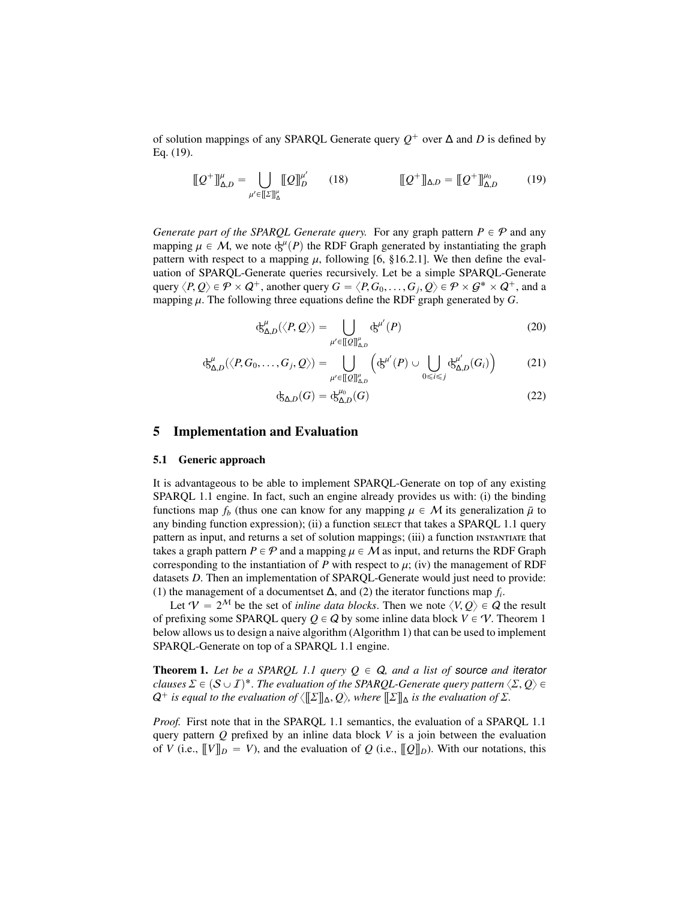of solution mappings of any SPARQL Generate query *Q* ` over ∆ and *D* is defined by Eq. (19).

$$
\llbracket Q^+\rrbracket_{\Delta,D}^{\mu} = \bigcup_{\mu' \in \llbracket \Sigma \rrbracket_{\Delta}^{\mu}} \llbracket Q \rrbracket_{D}^{\mu'} \qquad (18) \qquad \qquad \llbracket Q^+\rrbracket_{\Delta,D} = \llbracket Q^+\rrbracket_{\Delta,D}^{\mu_0} \qquad (19)
$$

*Generate part of the SPAROL Generate query.* For any graph pattern  $P \in \mathcal{P}$  and any mapping  $\mu \in M$ , we note  $\frac{1}{G}$  (P) the RDF Graph generated by instantiating the graph pattern with respect to a manning  $\mu$  following 16, 816.2.11. We then define the evalpattern with respect to a mapping  $\mu$ , following [6, §16.2.1]. We then define the evaluation of SPARQL-Generate queries recursively. Let be a simple SPARQL-Generate query  $\langle P, Q \rangle \in \mathcal{P} \times \mathcal{Q}^+$ , another query  $G = \langle P, G_0, \ldots, G_j, Q \rangle \in \mathcal{P} \times \mathcal{G}^* \times \mathcal{Q}^+$ , and a manning  $\mu$ . The following three equations define the RDE graph generated by  $G$ mapping  $\mu$ . The following three equations define the RDF graph generated by  $G$ .

$$
\phi_{\Delta,D}^{\mu}(\langle P,Q\rangle) = \bigcup_{\mu' \in [[Q]]_{\Delta,D}^{\mu}} \phi^{\mu'}(P) \tag{20}
$$

$$
\text{d}^{\mu}_{\Delta,D}(\langle P, G_0, \dots, G_j, Q \rangle) = \bigcup_{\mu' \in [[Q]]^{\mu}_{\Delta,D}} \left( \text{d}^{\mu'}(P) \cup \bigcup_{0 \leq i \leq j} \text{d}^{\mu'}_{\Delta,D}(G_i) \right) \tag{21}
$$

$$
\mathrm{d}^{\mathcal{A}}_{\Delta,D}(G) = \mathrm{d}^{\mu_0}_{\Delta,D}(G) \tag{22}
$$

## 5 Implementation and Evaluation

#### 5.1 Generic approach

It is advantageous to be able to implement SPARQL-Generate on top of any existing SPARQL 1.1 engine. In fact, such an engine already provides us with: (i) the binding functions map  $f_b$  (thus one can know for any mapping  $\mu \in M$  its generalization  $\bar{\mu}$  to any binding function expression); (ii) a function select that takes a SPARQL 1.1 query pattern as input, and returns a set of solution mappings; (iii) a function INSTANTIATE that takes a graph pattern  $P \in \mathcal{P}$  and a mapping  $\mu \in \mathcal{M}$  as input, and returns the RDF Graph corresponding to the instantiation of *P* with respect to  $\mu$ ; (iv) the management of RDF datasets *D*. Then an implementation of SPARQL-Generate would just need to provide: (1) the management of a documentset  $\Delta$ , and (2) the iterator functions map  $f_i$ .

Let  $V = 2^M$  be the set of *inline data blocks*. Then we note  $\langle V, O \rangle \in Q$  the result of prefixing some SPARQL query  $Q \in Q$  by some inline data block  $V \in \mathcal{V}$ . Theorem 1 below allows us to design a naive algorithm (Algorithm 1) that can be used to implement SPARQL-Generate on top of a SPARQL 1.1 engine.

**Theorem 1.** Let be a SPARQL 1.1 query  $Q \in Q$ , and a list of source and iterator *clauses*  $\Sigma \in (\mathcal{S} \cup I)^*$ . The evaluation of the SPARQL-Generate query pattern  $\langle \Sigma, \mathcal{Q} \rangle \in \Omega^+$  is equal to the evaluation of  $\mathcal{S}$ .  $Q^+$  *is equal to the evaluation of*  $\langle [\![\Sigma]\!]_\Delta, Q \rangle$ *, where*  $[\![\Sigma]\!]_\Delta$  *is the evaluation of*  $\Sigma$ *.* 

*Proof.* First note that in the SPARQL 1.1 semantics, the evaluation of a SPARQL 1.1 query pattern *Q* prefixed by an inline data block *V* is a join between the evaluation of *V* (i.e.,  $\llbracket V \rrbracket_D = V$ ), and the evaluation of *Q* (i.e.,  $\llbracket Q \rrbracket_D$ ). With our notations, this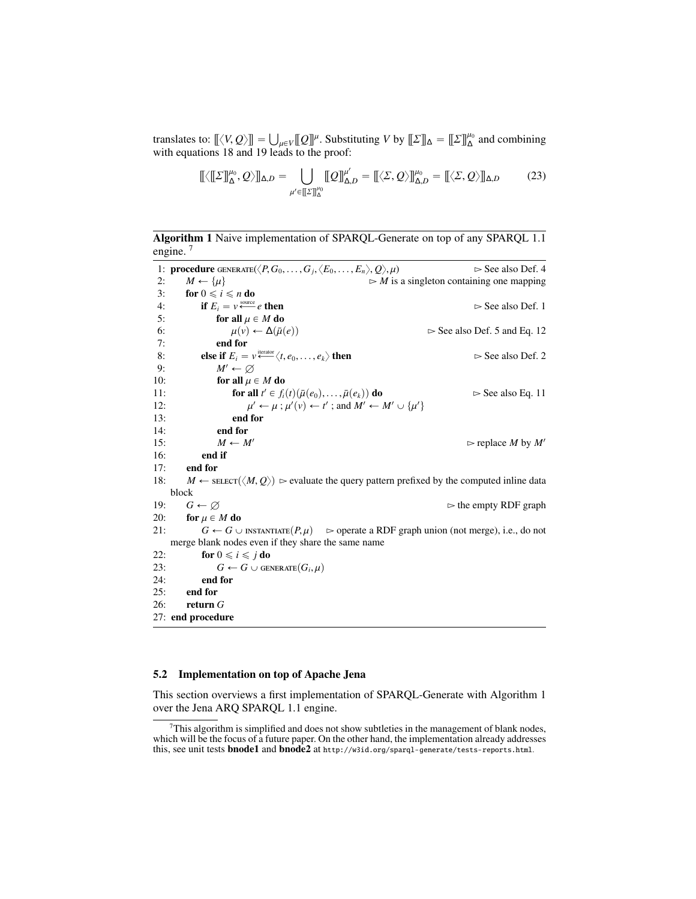translates to:  $\llbracket \langle V, Q \rangle \rrbracket = \bigcup_{\mu \in V} \llbracket Q \rrbracket^{\mu}$ . Substituting *V* by  $\llbracket \Sigma \rrbracket_{\Delta} = \llbracket \Sigma \rrbracket^{\mu_0}$  and combining with equations 18 and 19 leads to the proof: with equations 18 and 19 leads to the proof:

$$
\llbracket \langle \llbracket \Sigma \rrbracket_{\Delta}^{\mu_0}, Q \rangle \rrbracket_{\Delta, D} = \bigcup_{\mu' \in \llbracket \Sigma \rrbracket_{\Delta}^{\mu_0}} \llbracket Q \rrbracket_{\Delta, D}^{\mu'} = \llbracket \langle \Sigma, Q \rangle \rrbracket_{\Delta, D}^{\mu_0} = \llbracket \langle \Sigma, Q \rangle \rrbracket_{\Delta, D} \tag{23}
$$

Algorithm 1 Naive implementation of SPARQL-Generate on top of any SPARQL 1.1 engine.<sup>7</sup>

|     | 1: <b>procedure</b> GENERATE( $\langle P, G_0, \ldots, G_j, \langle E_0, \ldots, E_n \rangle, Q \rangle, \mu$ )                  | $\triangleright$ See also Def. 4                                |
|-----|----------------------------------------------------------------------------------------------------------------------------------|-----------------------------------------------------------------|
| 2:  | $M \leftarrow {\{\mu\}}$                                                                                                         | $\triangleright$ <i>M</i> is a singleton containing one mapping |
| 3:  | for $0 \leq i \leq n$ do                                                                                                         |                                                                 |
| 4:  | if $E_i = v \stackrel{\text{source}}{\longleftarrow} e$ then                                                                     | $\triangleright$ See also Def. 1                                |
| 5:  | for all $\mu \in M$ do                                                                                                           |                                                                 |
| 6:  | $\mu(v) \leftarrow \Delta(\bar{\mu}(e))$                                                                                         | $\triangleright$ See also Def. 5 and Eq. 12                     |
| 7:  | end for                                                                                                                          |                                                                 |
| 8:  | else if $E_i = v \stackrel{\text{iterator}}{\longleftarrow} \langle t, e_0, \dots, e_k \rangle$ then                             | $\triangleright$ See also Def. 2                                |
| 9:  | $M' \leftarrow \varnothing$                                                                                                      |                                                                 |
| 10: | for all $\mu \in M$ do                                                                                                           |                                                                 |
| 11: | for all $t' \in f_i(t)(\bar{\mu}(e_0), \ldots, \bar{\mu}(e_k))$ do                                                               | $\triangleright$ See also Eq. 11                                |
| 12: | $\mu' \leftarrow \mu$ ; $\mu'(v) \leftarrow t'$ ; and $M' \leftarrow M' \cup \{\mu'\}$                                           |                                                                 |
| 13: | end for                                                                                                                          |                                                                 |
| 14: | end for                                                                                                                          |                                                                 |
| 15: | $M \leftarrow M'$                                                                                                                | $\triangleright$ replace <i>M</i> by <i>M'</i>                  |
| 16: | end if                                                                                                                           |                                                                 |
| 17: | end for                                                                                                                          |                                                                 |
| 18: | $M \leftarrow$ selectr $(\langle M, Q \rangle)$ $\triangleright$ evaluate the query pattern prefixed by the computed inline data |                                                                 |
|     | block                                                                                                                            |                                                                 |
| 19: | $G \leftarrow \varnothing$                                                                                                       | $\triangleright$ the empty RDF graph                            |
| 20: | for $\mu \in M$ do                                                                                                               |                                                                 |
| 21: | $G \leftarrow G \cup \text{INSTANTIATE}(P, \mu)$ $\Rightarrow$ operate a RDF graph union (not merge), i.e., do not               |                                                                 |
|     | merge blank nodes even if they share the same name                                                                               |                                                                 |
| 22: | for $0 \leq i \leq j$ do                                                                                                         |                                                                 |
| 23: | $G \leftarrow G \cup$ GENERATE $(G_i, \mu)$                                                                                      |                                                                 |
| 24: | end for                                                                                                                          |                                                                 |
| 25: | end for                                                                                                                          |                                                                 |
| 26: | return $G$                                                                                                                       |                                                                 |
|     | 27: end procedure                                                                                                                |                                                                 |

## 5.2 Implementation on top of Apache Jena

This section overviews a first implementation of SPARQL-Generate with Algorithm 1 over the Jena ARQ SPARQL 1.1 engine.

 $7$ This algorithm is simplified and does not show subtleties in the management of blank nodes, which will be the focus of a future paper. On the other hand, the implementation already addresses this, see unit tests bnode1 and bnode2 at http://w3id.org/sparql-generate/tests-reports.html.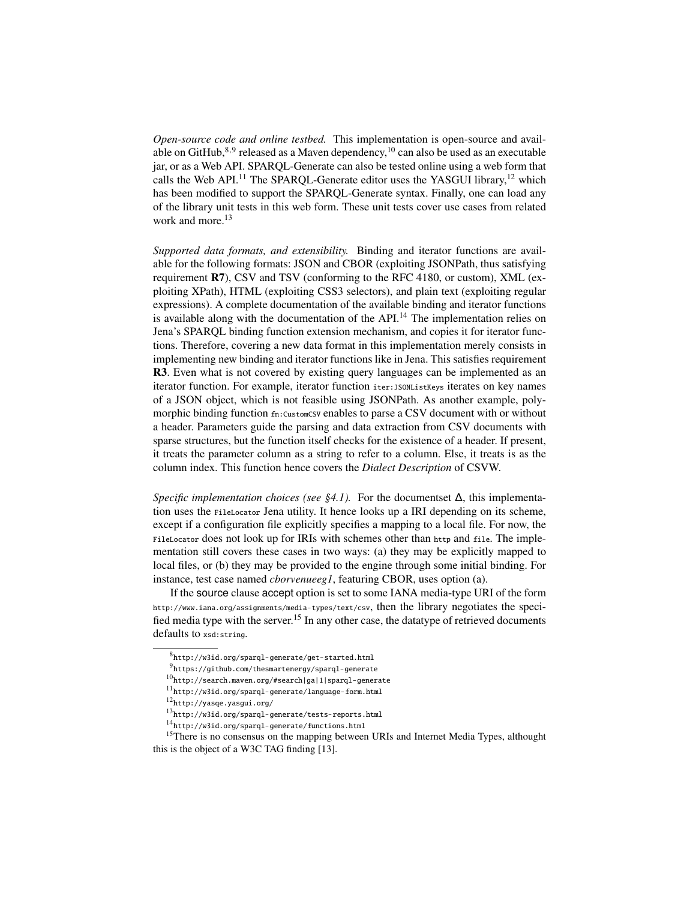*Open-source code and online testbed.* This implementation is open-source and available on GitHub,  $8.9$  released as a Maven dependency,  $10$  can also be used as an executable jar, or as a Web API. SPARQL-Generate can also be tested online using a web form that calls the Web API.<sup>11</sup> The SPARQL-Generate editor uses the YASGUI library,<sup>12</sup> which has been modified to support the SPARQL-Generate syntax. Finally, one can load any of the library unit tests in this web form. These unit tests cover use cases from related work and more.<sup>13</sup>

*Supported data formats, and extensibility.* Binding and iterator functions are available for the following formats: JSON and CBOR (exploiting JSONPath, thus satisfying requirement R7), CSV and TSV (conforming to the RFC 4180, or custom), XML (exploiting XPath), HTML (exploiting CSS3 selectors), and plain text (exploiting regular expressions). A complete documentation of the available binding and iterator functions is available along with the documentation of the API.<sup>14</sup> The implementation relies on Jena's SPARQL binding function extension mechanism, and copies it for iterator functions. Therefore, covering a new data format in this implementation merely consists in implementing new binding and iterator functions like in Jena. This satisfies requirement R3. Even what is not covered by existing query languages can be implemented as an iterator function. For example, iterator function iter:JSONListKeys iterates on key names of a JSON object, which is not feasible using JSONPath. As another example, polymorphic binding function  $f_n$ : CustomCSV enables to parse a CSV document with or without a header. Parameters guide the parsing and data extraction from CSV documents with sparse structures, but the function itself checks for the existence of a header. If present, it treats the parameter column as a string to refer to a column. Else, it treats is as the column index. This function hence covers the *Dialect Description* of CSVW.

*Specific implementation choices (see §4.1).* For the documentset ∆, this implementation uses the FileLocator Jena utility. It hence looks up a IRI depending on its scheme, except if a configuration file explicitly specifies a mapping to a local file. For now, the FileLocator does not look up for IRIs with schemes other than http and file. The implementation still covers these cases in two ways: (a) they may be explicitly mapped to local files, or (b) they may be provided to the engine through some initial binding. For instance, test case named *cborvenueeg1*, featuring CBOR, uses option (a).

If the source clause accept option is set to some IANA media-type URI of the form http://www.iana.org/assignments/media-types/text/csv, then the library negotiates the specified media type with the server.<sup>15</sup> In any other case, the datatype of retrieved documents defaults to xsd:string.

 ${}^{8}$ http://w3id.org/sparql-generate/get-started.html

<sup>&</sup>lt;sup>9</sup>https://github.com/thesmartenergy/sparql-generate

 $^{10}$ http://search.maven.org/#search|ga|1|sparql-generate

<sup>11</sup>http://w3id.org/sparql-generate/language-form.html

<sup>12</sup>http://yasqe.yasgui.org/

<sup>13</sup>http://w3id.org/sparql-generate/tests-reports.html

<sup>14</sup>http://w3id.org/sparql-generate/functions.html

<sup>&</sup>lt;sup>15</sup>There is no consensus on the mapping between URIs and Internet Media Types, althought this is the object of a W3C TAG finding [13].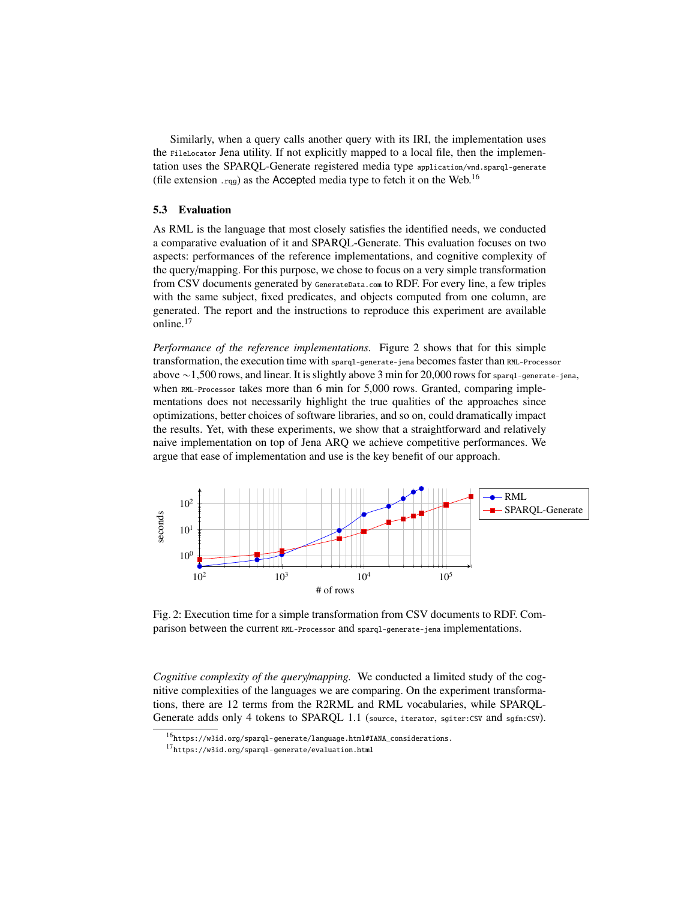Similarly, when a query calls another query with its IRI, the implementation uses the FileLocator Jena utility. If not explicitly mapped to a local file, then the implementation uses the SPARQL-Generate registered media type application/vnd.sparql-generate (file extension .rqg) as the Accepted media type to fetch it on the Web.<sup>16</sup>

### 5.3 Evaluation

As RML is the language that most closely satisfies the identified needs, we conducted a comparative evaluation of it and SPARQL-Generate. This evaluation focuses on two aspects: performances of the reference implementations, and cognitive complexity of the query/mapping. For this purpose, we chose to focus on a very simple transformation from CSV documents generated by GenerateData.com to RDF. For every line, a few triples with the same subject, fixed predicates, and objects computed from one column, are generated. The report and the instructions to reproduce this experiment are available online.<sup>17</sup>

*Performance of the reference implementations.* Figure 2 shows that for this simple transformation, the execution time with sparql-generate-jena becomes faster than RML-Processor above  $\sim$  1,500 rows, and linear. It is slightly above 3 min for 20,000 rows for sparq1-generate-jena, when RML-Processor takes more than 6 min for 5,000 rows. Granted, comparing implementations does not necessarily highlight the true qualities of the approaches since optimizations, better choices of software libraries, and so on, could dramatically impact the results. Yet, with these experiments, we show that a straightforward and relatively naive implementation on top of Jena ARQ we achieve competitive performances. We argue that ease of implementation and use is the key benefit of our approach.



Fig. 2: Execution time for a simple transformation from CSV documents to RDF. Comparison between the current RML-Processor and sparql-generate-jena implementations.

*Cognitive complexity of the query*/*mapping.* We conducted a limited study of the cognitive complexities of the languages we are comparing. On the experiment transformations, there are 12 terms from the R2RML and RML vocabularies, while SPARQL-Generate adds only 4 tokens to SPARQL 1.1 (source, iterator, sgiter:CSV and sgfn:CSV).

 $^{16}$ https://w3id.org/sparql-generate/language.html#IANA\_considerations.

<sup>17</sup>https://w3id.org/sparql-generate/evaluation.html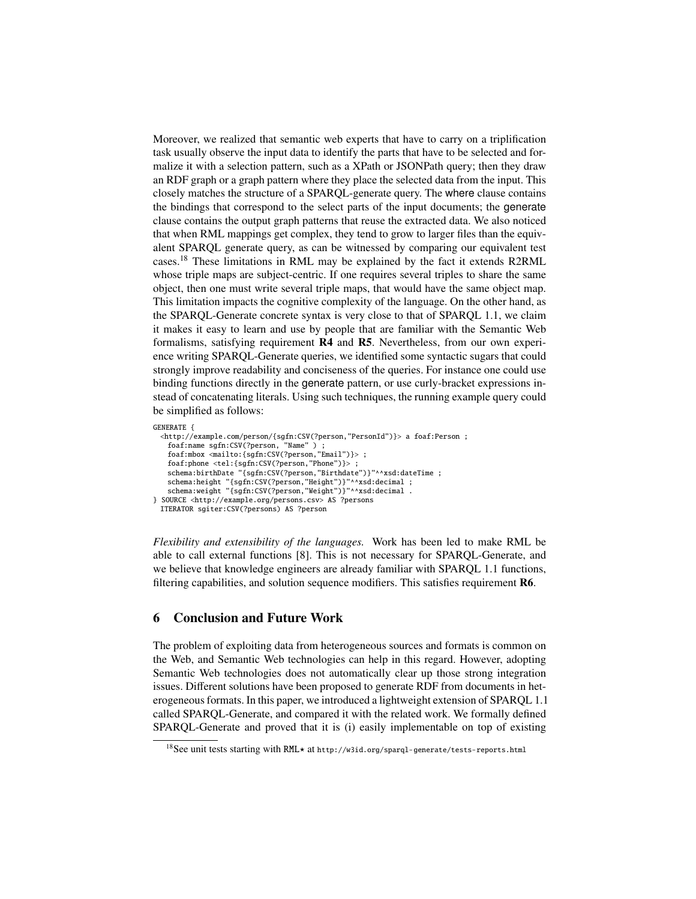Moreover, we realized that semantic web experts that have to carry on a triplification task usually observe the input data to identify the parts that have to be selected and formalize it with a selection pattern, such as a XPath or JSONPath query; then they draw an RDF graph or a graph pattern where they place the selected data from the input. This closely matches the structure of a SPARQL-generate query. The where clause contains the bindings that correspond to the select parts of the input documents; the generate clause contains the output graph patterns that reuse the extracted data. We also noticed that when RML mappings get complex, they tend to grow to larger files than the equivalent SPARQL generate query, as can be witnessed by comparing our equivalent test cases.<sup>18</sup> These limitations in RML may be explained by the fact it extends R2RML whose triple maps are subject-centric. If one requires several triples to share the same object, then one must write several triple maps, that would have the same object map. This limitation impacts the cognitive complexity of the language. On the other hand, as the SPARQL-Generate concrete syntax is very close to that of SPARQL 1.1, we claim it makes it easy to learn and use by people that are familiar with the Semantic Web formalisms, satisfying requirement R4 and R5. Nevertheless, from our own experience writing SPARQL-Generate queries, we identified some syntactic sugars that could strongly improve readability and conciseness of the queries. For instance one could use binding functions directly in the generate pattern, or use curly-bracket expressions instead of concatenating literals. Using such techniques, the running example query could be simplified as follows:

GENERATE {

```
<http://example.com/person/{sgfn:CSV(?person,"PersonId")}> a foaf:Person ;
   foaf:name sgfn:CSV(?person, "Name" ) ;
   foaf:mbox <mailto:{sgfn:CSV(?person,"Email")}> ;
    foaf:phone <tel:{sgfn:CSV(?person,"Phone")}> ;
schema:birthDate "{sgfn:CSV(?person,"Birthdate")}"^^xsd:dateTime ;
   schema:height "{sgfn:CSV(?person,"Height")}"^^xsd:decimal ;
   schema:weight "{sgfn:CSV(?person,"Weight")}"^^xsd:decimal .
} SOURCE <http://example.org/persons.csv> AS ?persons
  ITERATOR sgiter:CSV(?persons) AS ?person
```
*Flexibility and extensibility of the languages.* Work has been led to make RML be able to call external functions [8]. This is not necessary for SPARQL-Generate, and we believe that knowledge engineers are already familiar with SPARQL 1.1 functions, filtering capabilities, and solution sequence modifiers. This satisfies requirement R6.

## 6 Conclusion and Future Work

The problem of exploiting data from heterogeneous sources and formats is common on the Web, and Semantic Web technologies can help in this regard. However, adopting Semantic Web technologies does not automatically clear up those strong integration issues. Different solutions have been proposed to generate RDF from documents in heterogeneous formats. In this paper, we introduced a lightweight extension of SPARQL 1.1 called SPARQL-Generate, and compared it with the related work. We formally defined SPARQL-Generate and proved that it is (i) easily implementable on top of existing

 $^{18}$ See unit tests starting with RML $\star$  at http://w3id.org/sparql-generate/tests-reports.html